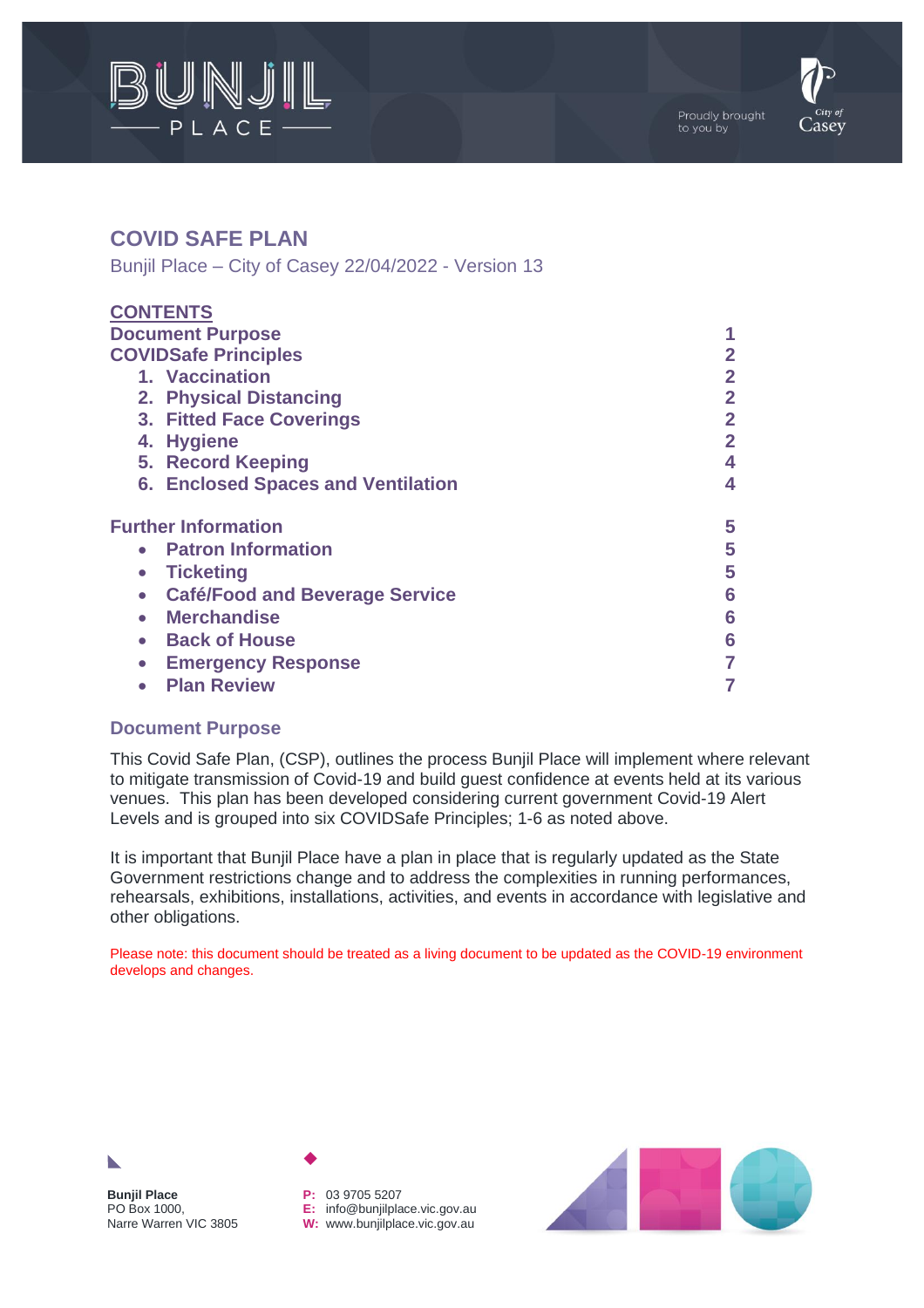



# **COVID SAFE PLAN**

Bunjil Place – City of Casey 22/04/2022 - Version 13

| <b>CONTENTS</b>                                    |                |
|----------------------------------------------------|----------------|
| <b>Document Purpose</b>                            |                |
| <b>COVIDSafe Principles</b>                        | 2              |
| 1. Vaccination                                     | $\overline{2}$ |
| 2. Physical Distancing                             | $\overline{2}$ |
| 3. Fitted Face Coverings                           | $\overline{2}$ |
| 4. Hygiene                                         | $\overline{2}$ |
| 5. Record Keeping                                  | 4              |
| <b>6. Enclosed Spaces and Ventilation</b>          | 4              |
| <b>Further Information</b>                         | 5              |
| <b>Patron Information</b><br>$\bullet$             | 5              |
| <b>Ticketing</b><br>$\bullet$                      | 5              |
| <b>Café/Food and Beverage Service</b><br>$\bullet$ | 6              |
| <b>Merchandise</b><br>$\bullet$                    | 6              |
| <b>Back of House</b><br>$\bullet$                  | 6              |
| <b>Emergency Response</b><br>$\bullet$             | 7              |
| <b>Plan Review</b>                                 | 7              |

### **Document Purpose**

This Covid Safe Plan, (CSP), outlines the process Bunjil Place will implement where relevant to mitigate transmission of Covid-19 and build guest confidence at events held at its various venues. This plan has been developed considering current government Covid-19 Alert Levels and is grouped into six COVIDSafe Principles; 1-6 as noted above.

It is important that Bunjil Place have a plan in place that is regularly updated as the State Government restrictions change and to address the complexities in running performances, rehearsals, exhibitions, installations, activities, and events in accordance with legislative and other obligations.

Please note: this document should be treated as a living document to be updated as the COVID-19 environment develops and changes.



**Bunjil Place** PO Box 1000, Narre Warren VIC 3805

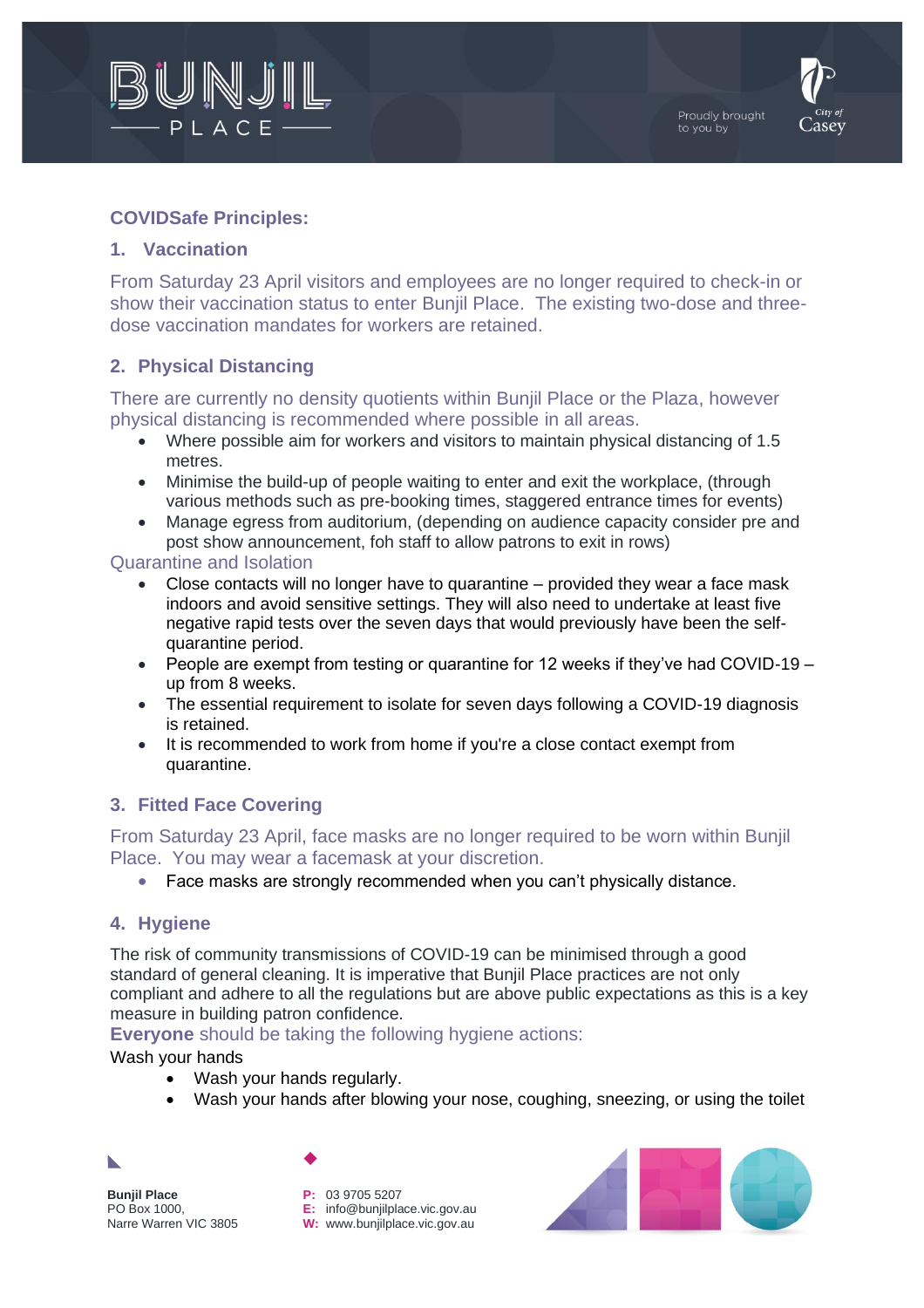



## **COVIDSafe Principles:**

#### **1. Vaccination**

From Saturday 23 April visitors and employees are no longer required to check-in or show their vaccination status to enter Bunjil Place. The existing two-dose and threedose vaccination mandates for workers are retained.

## **2. Physical Distancing**

There are currently no density quotients within Bunjil Place or the Plaza, however physical distancing is recommended where possible in all areas.

- Where possible aim for workers and visitors to maintain physical distancing of 1.5 metres.
- Minimise the build-up of people waiting to enter and exit the workplace, (through various methods such as pre-booking times, staggered entrance times for events)
- Manage egress from auditorium, (depending on audience capacity consider pre and post show announcement, foh staff to allow patrons to exit in rows)

#### Quarantine and Isolation

- Close contacts will no longer have to quarantine provided they wear a face mask indoors and avoid sensitive settings. They will also need to undertake at least five negative rapid tests over the seven days that would previously have been the selfquarantine period.
- People are exempt from testing or quarantine for 12 weeks if they've had COVID-19 up from 8 weeks.
- The essential requirement to isolate for seven days following a COVID-19 diagnosis is retained.
- It is recommended to work from home if you're a close contact exempt from quarantine.

### **3. Fitted Face Covering**

From Saturday 23 April, face masks are no longer required to be worn within Bunjil Place. You may wear a facemask at your discretion.

• Face masks are strongly recommended when you can't physically distance.

### **4. Hygiene**

The risk of community transmissions of COVID-19 can be minimised through a good standard of general cleaning. It is imperative that Bunjil Place practices are not only compliant and adhere to all the regulations but are above public expectations as this is a key measure in building patron confidence.

**Evervone** should be taking the following hygiene actions:

Wash your hands

- Wash your hands regularly.
- Wash your hands after blowing your nose, coughing, sneezing, or using the toilet

**Bunjil Place** PO Box 1000, Narre Warren VIC 3805

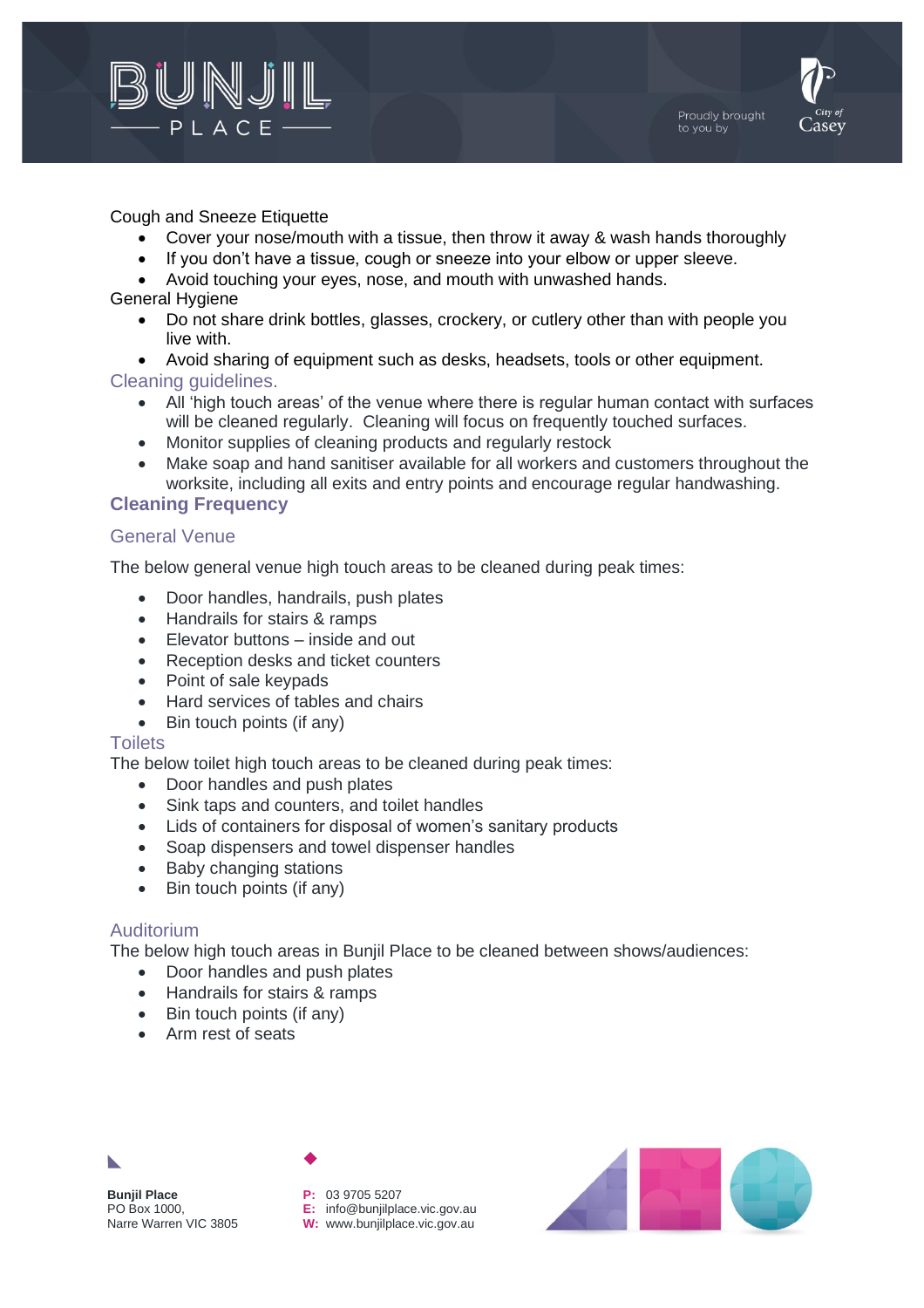



#### Cough and Sneeze Etiquette

- Cover your nose/mouth with a tissue, then throw it away & wash hands thoroughly
- If you don't have a tissue, cough or sneeze into your elbow or upper sleeve.
- Avoid touching your eyes, nose, and mouth with unwashed hands.

#### General Hygiene

- Do not share drink bottles, glasses, crockery, or cutlery other than with people you live with.
- Avoid sharing of equipment such as desks, headsets, tools or other equipment.

## Cleaning guidelines.

- All 'high touch areas' of the venue where there is regular human contact with surfaces will be cleaned regularly. Cleaning will focus on frequently touched surfaces.
- Monitor supplies of cleaning products and regularly restock
- Make soap and hand sanitiser available for all workers and customers throughout the worksite, including all exits and entry points and encourage regular handwashing.

#### **Cleaning Frequency**

### General Venue

The below general venue high touch areas to be cleaned during peak times:

- Door handles, handrails, push plates
- Handrails for stairs & ramps
- Elevator buttons inside and out
- Reception desks and ticket counters
- Point of sale keypads
- Hard services of tables and chairs
- Bin touch points (if any)

#### **Toilets**

The below toilet high touch areas to be cleaned during peak times:

- Door handles and push plates
- Sink taps and counters, and toilet handles
- Lids of containers for disposal of women's sanitary products
- Soap dispensers and towel dispenser handles
- Baby changing stations
- Bin touch points (if any)

### Auditorium

The below high touch areas in Bunjil Place to be cleaned between shows/audiences:

- Door handles and push plates
- Handrails for stairs & ramps
- Bin touch points (if any)
- Arm rest of seats

**Bunjil Place** PO Box 1000, Narre Warren VIC 3805

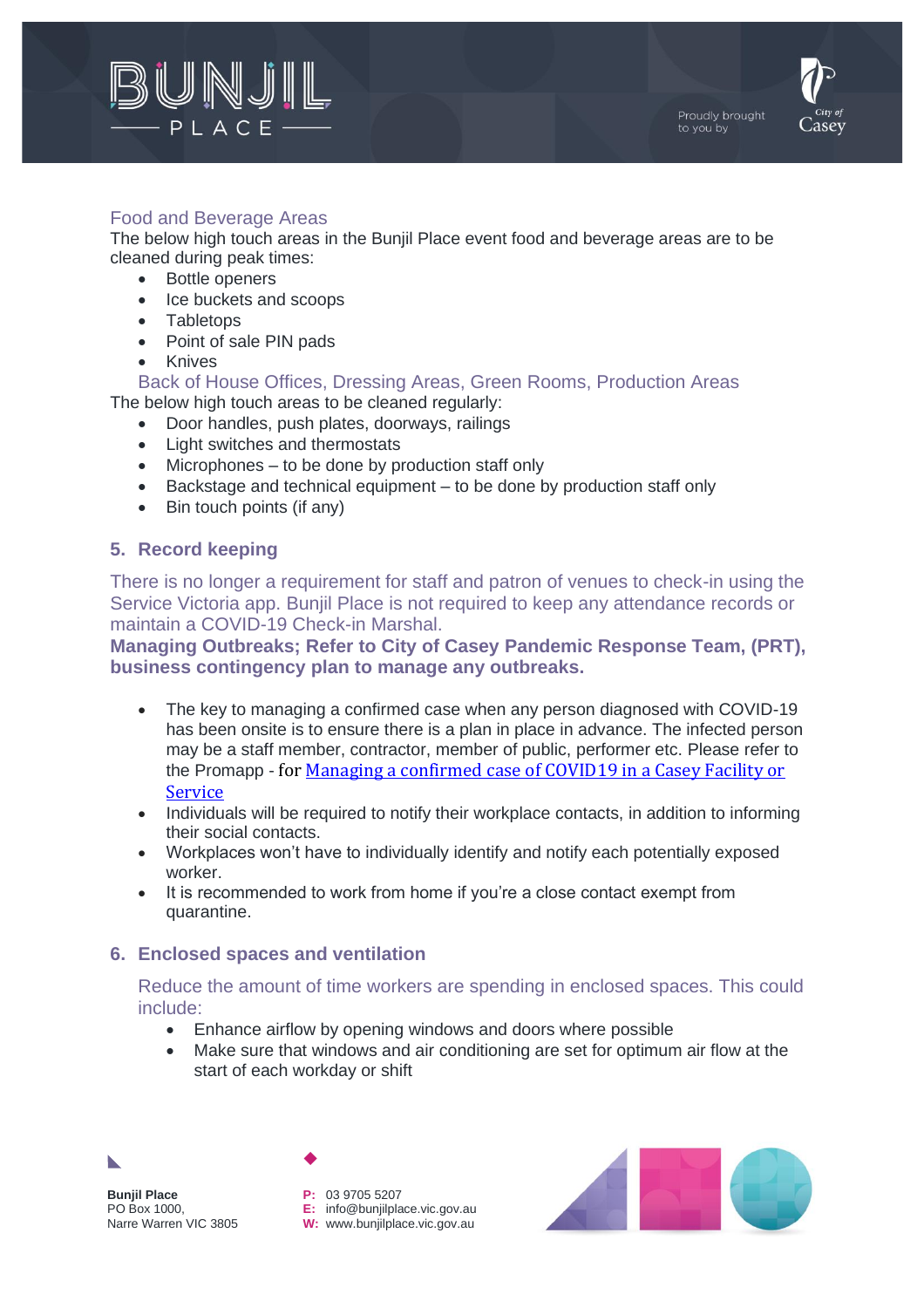



## Food and Beverage Areas

The below high touch areas in the Bunjil Place event food and beverage areas are to be cleaned during peak times:

- Bottle openers
- Ice buckets and scoops
- Tabletops
- Point of sale PIN pads
- Knives

Back of House Offices, Dressing Areas, Green Rooms, Production Areas The below high touch areas to be cleaned regularly:

- Door handles, push plates, doorways, railings
- Light switches and thermostats
- Microphones to be done by production staff only
- Backstage and technical equipment to be done by production staff only
- Bin touch points (if any)

### **5. Record keeping**

There is no longer a requirement for staff and patron of venues to check-in using the Service Victoria app. Bunjil Place is not required to keep any attendance records or maintain a COVID-19 Check-in Marshal.

**Managing Outbreaks; Refer to City of Casey Pandemic Response Team, (PRT), business contingency plan to manage any outbreaks.**

- The key to managing a confirmed case when any person diagnosed with COVID-19 has been onsite is to ensure there is a plan in place in advance. The infected person may be a staff member, contractor, member of public, performer etc. Please refer to the Promapp - for [Managing a confirmed case of COVID19 in a Casey Facility or](https://au.promapp.com/cityofcasey/Process/Minimode/Permalink/Gt0AK4nU5CRtBNIpkqZ8mO)  [Service](https://au.promapp.com/cityofcasey/Process/Minimode/Permalink/Gt0AK4nU5CRtBNIpkqZ8mO)
- Individuals will be required to notify their workplace contacts, in addition to informing their social contacts.
- Workplaces won't have to individually identify and notify each potentially exposed worker.
- It is recommended to work from home if you're a close contact exempt from quarantine.

### **6. Enclosed spaces and ventilation**

Reduce the amount of time workers are spending in enclosed spaces. This could include:

- Enhance airflow by opening windows and doors where possible
- Make sure that windows and air conditioning are set for optimum air flow at the start of each workday or shift



**Bunjil Place** PO Box 1000, Narre Warren VIC 3805

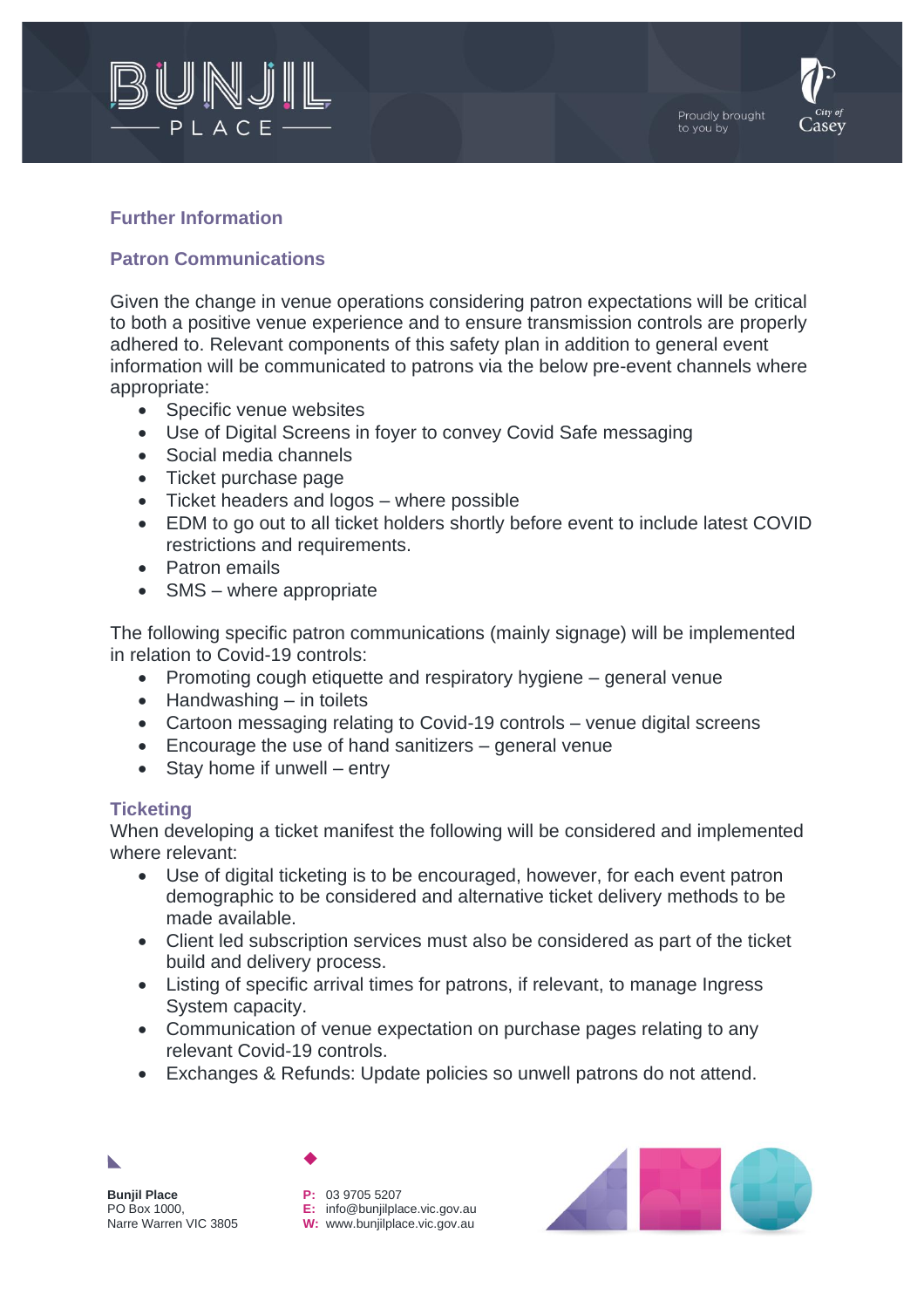



## **Further Information**

## **Patron Communications**

Given the change in venue operations considering patron expectations will be critical to both a positive venue experience and to ensure transmission controls are properly adhered to. Relevant components of this safety plan in addition to general event information will be communicated to patrons via the below pre-event channels where appropriate:

- Specific venue websites
- Use of Digital Screens in foyer to convey Covid Safe messaging
- Social media channels
- Ticket purchase page
- Ticket headers and logos where possible
- EDM to go out to all ticket holders shortly before event to include latest COVID restrictions and requirements.
- Patron emails
- SMS where appropriate

The following specific patron communications (mainly signage) will be implemented in relation to Covid-19 controls:

- Promoting cough etiquette and respiratory hygiene general venue
- $\bullet$  Handwashing in toilets
- Cartoon messaging relating to Covid-19 controls venue digital screens
- Encourage the use of hand sanitizers general venue
- Stay home if unwell entry

### **Ticketing**

When developing a ticket manifest the following will be considered and implemented where relevant:

- Use of digital ticketing is to be encouraged, however, for each event patron demographic to be considered and alternative ticket delivery methods to be made available.
- Client led subscription services must also be considered as part of the ticket build and delivery process.
- Listing of specific arrival times for patrons, if relevant, to manage Ingress System capacity.
- Communication of venue expectation on purchase pages relating to any relevant Covid-19 controls.
- Exchanges & Refunds: Update policies so unwell patrons do not attend.

**Bunjil Place** PO Box 1000, Narre Warren VIC 3805

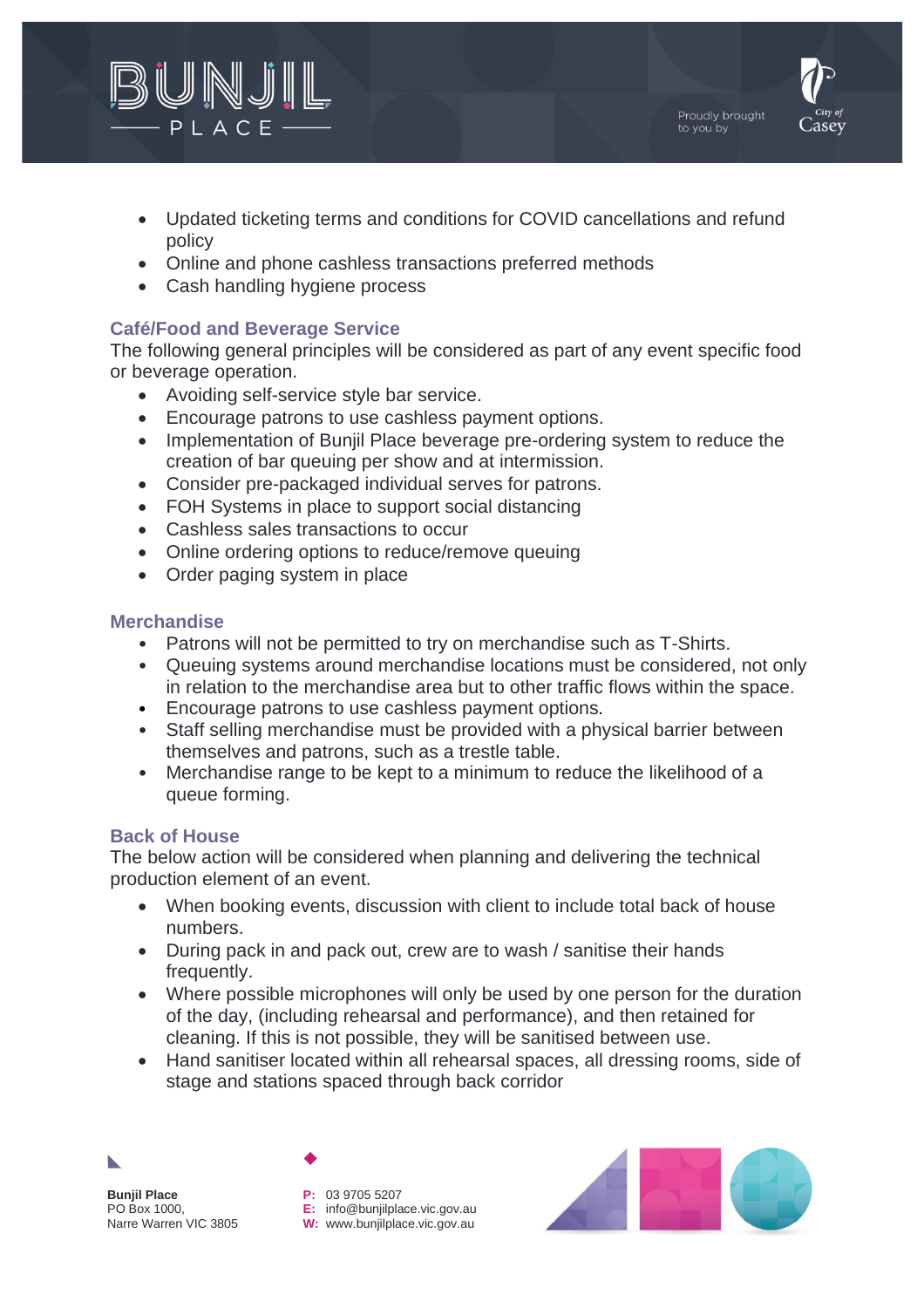

- Updated ticketing terms and conditions for COVID cancellations and refund policy
- Online and phone cashless transactions preferred methods
- Cash handling hygiene process

## **Café/Food and Beverage Service**

The following general principles will be considered as part of any event specific food or beverage operation.

- Avoiding self-service style bar service.
- Encourage patrons to use cashless payment options.
- Implementation of Bunjil Place beverage pre-ordering system to reduce the creation of bar queuing per show and at intermission.
- Consider pre-packaged individual serves for patrons.
- FOH Systems in place to support social distancing
- Cashless sales transactions to occur
- Online ordering options to reduce/remove queuing
- Order paging system in place

### **Merchandise**

- Patrons will not be permitted to try on merchandise such as T-Shirts.
- Queuing systems around merchandise locations must be considered, not only in relation to the merchandise area but to other traffic flows within the space.
- Encourage patrons to use cashless payment options.
- Staff selling merchandise must be provided with a physical barrier between themselves and patrons, such as a trestle table.
- Merchandise range to be kept to a minimum to reduce the likelihood of a queue forming.

### **Back of House**

The below action will be considered when planning and delivering the technical production element of an event.

- When booking events, discussion with client to include total back of house numbers.
- During pack in and pack out, crew are to wash / sanitise their hands frequently.
- Where possible microphones will only be used by one person for the duration of the day, (including rehearsal and performance), and then retained for cleaning. If this is not possible, they will be sanitised between use.
- Hand sanitiser located within all rehearsal spaces, all dressing rooms, side of stage and stations spaced through back corridor



**Bunjil Place** PO Box 1000, Narre Warren VIC 3805

**P:** 03 9705 5207 **E:** info@bunjilplace.vic.gov.au **W:** www.bunjilplace.vic.gov.au



Proudly brought to you by